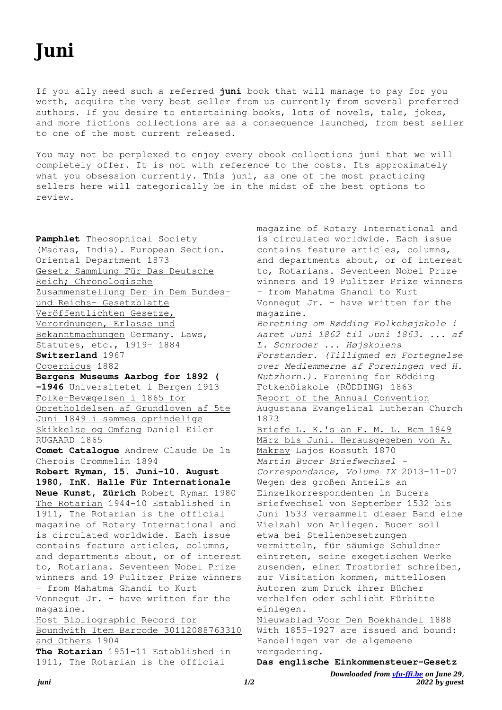If you ally need such a referred **juni** book that will manage to pay for you worth, acquire the very best seller from us currently from several preferred authors. If you desire to entertaining books, lots of novels, tale, jokes, and more fictions collections are as a consequence launched, from best seller to one of the most current released.

You may not be perplexed to enjoy every ebook collections juni that we will completely offer. It is not with reference to the costs. Its approximately what you obsession currently. This juni, as one of the most practicing sellers here will categorically be in the midst of the best options to review.

**Pamphlet** Theosophical Society (Madras, India). European Section. Oriental Department 1873 Gesetz-Sammlung Für Das Deutsche Reich; Chronologische Zusammenstellung Der in Dem Bundesund Reichs- Gesetzblatte Veröffentlichten Gesetze, Verordnungen, Erlasse und Bekanntmachungen Germany. Laws, Statutes, etc., 1919- 1884 **Switzerland** 1967 Copernicus 1882 **Bergens Museums Aarbog for 1892 ( -1946** Universitetet i Bergen 1913 Folke-Bevægelsen i 1865 for Opretholdelsen af Grundloven af 5te Juni 1849 i sammes oprindelige Skikkelse og Omfang Daniel Eiler RUGAARD 1865 **Comet Catalogue** Andrew Claude De la Cherois Crommelin 1894 **Robert Ryman, 15. Juni-10. August 1980, InK. Halle Für Internationale Neue Kunst, Zürich** Robert Ryman 1980 The Rotarian 1944-10 Established in 1911, The Rotarian is the official magazine of Rotary International and is circulated worldwide. Each issue contains feature articles, columns, and departments about, or of interest to, Rotarians. Seventeen Nobel Prize winners and 19 Pulitzer Prize winners – from Mahatma Ghandi to Kurt Vonnegut Jr. – have written for the magazine. Host Bibliographic Record for Boundwith Item Barcode 30112088763310 and Others 1904 **The Rotarian** 1951-11 Established in 1911, The Rotarian is the official

magazine of Rotary International and is circulated worldwide. Each issue contains feature articles, columns, and departments about, or of interest to, Rotarians. Seventeen Nobel Prize winners and 19 Pulitzer Prize winners – from Mahatma Ghandi to Kurt Vonnegut Jr. – have written for the magazine. *Beretning om Rødding Folkehøjskole i Aaret Juni 1862 til Juni 1863. ... af L. Schroder ... Højskolens Forstander. (Tilligmed en Fortegnelse over Medlemmerne af Foreningen ved H. Nutzhorn.).* Forening for Rödding Fotkehöiskole (RÖDDING) 1863 Report of the Annual Convention Augustana Evangelical Lutheran Church 1873 Briefe L. K.'s an F. M. L. Bem 1849 März bis Juni. Herausgegeben von A. Makray Lajos Kossuth 1870 *Martin Bucer Briefwechsel - Correspondance, Volume IX* 2013-11-07 Wegen des großen Anteils an Einzelkorrespondenten in Bucers Briefwechsel von September 1532 bis Juni 1533 versammelt dieser Band eine Vielzahl von Anliegen. Bucer soll etwa bei Stellenbesetzungen vermitteln, für säumige Schuldner eintreten, seine exegetischen Werke zusenden, einen Trostbrief schreiben, zur Visitation kommen, mittellosen Autoren zum Druck ihrer Bücher verhelfen oder schlicht Fürbitte einlegen. Nieuwsblad Voor Den Boekhandel 1888

With 1855-1927 are issued and bound: Handelingen van de algemeene vergadering.

```
Das englische Einkommensteuer-Gesetz
```